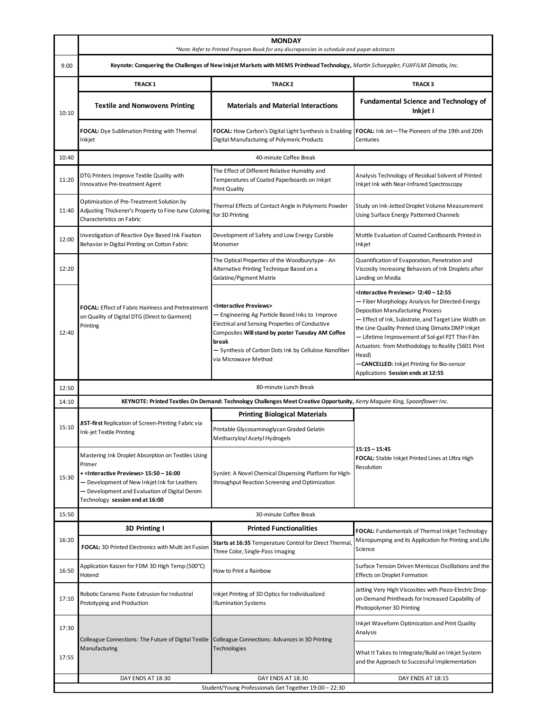|       | <b>MONDAY</b><br>*Note: Refer to Printed Program Book for any discrepancies in schedule and paper abstracts                                                                                                                                                    |                                                                                                                                                                                                                                                                                                    |                                                                                                                                                                                                                                                                                                                                                                                                                                                                                 |  |  |  |
|-------|----------------------------------------------------------------------------------------------------------------------------------------------------------------------------------------------------------------------------------------------------------------|----------------------------------------------------------------------------------------------------------------------------------------------------------------------------------------------------------------------------------------------------------------------------------------------------|---------------------------------------------------------------------------------------------------------------------------------------------------------------------------------------------------------------------------------------------------------------------------------------------------------------------------------------------------------------------------------------------------------------------------------------------------------------------------------|--|--|--|
| 9:00  | Keynote: Conquering the Challenges of New Inkjet Markets with MEMS Printhead Technology, Martin Schoeppler, FUJIFILM Dimatix, Inc.                                                                                                                             |                                                                                                                                                                                                                                                                                                    |                                                                                                                                                                                                                                                                                                                                                                                                                                                                                 |  |  |  |
|       | <b>TRACK1</b>                                                                                                                                                                                                                                                  | TRACK <sub>2</sub>                                                                                                                                                                                                                                                                                 | <b>TRACK3</b>                                                                                                                                                                                                                                                                                                                                                                                                                                                                   |  |  |  |
| 10:10 | <b>Textile and Nonwovens Printing</b>                                                                                                                                                                                                                          | <b>Materials and Material Interactions</b>                                                                                                                                                                                                                                                         | <b>Fundamental Science and Technology of</b><br>Inkjet I                                                                                                                                                                                                                                                                                                                                                                                                                        |  |  |  |
|       | FOCAL: Dye Sublimation Printing with Thermal<br>Inkjet                                                                                                                                                                                                         | FOCAL: How Carbon's Digital Light Synthesis is Enabling<br>Digital Manufacturing of Polymeric Products                                                                                                                                                                                             | FOCAL: Ink Jet-The Pioneers of the 19th and 20th<br>Centuries                                                                                                                                                                                                                                                                                                                                                                                                                   |  |  |  |
| 10:40 | 40-minute Coffee Break                                                                                                                                                                                                                                         |                                                                                                                                                                                                                                                                                                    |                                                                                                                                                                                                                                                                                                                                                                                                                                                                                 |  |  |  |
| 11:20 | DTG Printers Improve Textile Quality with<br>Innovative Pre-treatment Agent                                                                                                                                                                                    | The Effect of Different Relative Humidity and<br>Temperatures of Coated Paperboards on Inkjet<br><b>Print Quality</b>                                                                                                                                                                              | Analysis Technology of Residual Solvent of Printed<br>Inkjet Ink with Near-Infrared Spectroscopy                                                                                                                                                                                                                                                                                                                                                                                |  |  |  |
| 11:40 | Optimization of Pre-Treatment Solution by<br>Adjusting Thickener's Property to Fine-tune Coloring<br>Characteristics on Fabric                                                                                                                                 | Thermal Effects of Contact Angle in Polymeric Powder<br>for 3D Printing                                                                                                                                                                                                                            | Study on Ink-Jetted Droplet Volume Measurement<br>Using Surface Energy Patterned Channels                                                                                                                                                                                                                                                                                                                                                                                       |  |  |  |
| 12:00 | Investigation of Reactive Dye Based Ink Fixation<br>Behavior in Digital Printing on Cotton Fabric                                                                                                                                                              | Development of Safety and Low Energy Curable<br>Monomer                                                                                                                                                                                                                                            | Mottle Evaluation of Coated Cardboards Printed in<br>Inkjet                                                                                                                                                                                                                                                                                                                                                                                                                     |  |  |  |
| 12:20 | <b>FOCAL:</b> Effect of Fabric Hairiness and Pretreatment<br>on Quality of Digital DTG (Direct to Garment)<br>Printing                                                                                                                                         | The Optical Properties of the Woodburytype - An<br>Alternative Printing Technique Based on a<br>Gelatine/Pigment Matrix                                                                                                                                                                            | Quantification of Evaporation, Penetration and<br>Viscosity Increasing Behaviors of Ink Droplets after<br>Landing on Media                                                                                                                                                                                                                                                                                                                                                      |  |  |  |
| 12:40 |                                                                                                                                                                                                                                                                | <interactive previews=""><br/>- Engineering Ag Particle Based Inks to Improve<br/>Electrical and Sensing Properties of Conductive<br/>Composites Will stand by poster Tuesday AM Coffee<br/>break<br/>- Synthesis of Carbon Dots Ink by Cellulose Nanofiber<br/>via Microwave Method</interactive> | <interactive previews=""> !2:40 - 12:55<br/>- Fiber Morphology Analysis for Directed-Energy<br/><b>Deposition Manufacturing Process</b><br/>- Effect of Ink, Substrate, and Target Line Width on<br/>the Line Quality Printed Using Dimatix DMP Inkjet<br/>- Lifetime Improvement of Sol-gel PZT Thin Film<br/>Actuators: from Methodology to Reality (5601 Print<br/>Head)<br/>-CANCELLED: Inkjet Printing for Bio-sensor<br/>Applications Session ends at 12:55</interactive> |  |  |  |
| 12:50 |                                                                                                                                                                                                                                                                | 80-minute Lunch Break                                                                                                                                                                                                                                                                              |                                                                                                                                                                                                                                                                                                                                                                                                                                                                                 |  |  |  |
| 14:10 | KEYNOTE: Printed Textiles On Demand: Technology Challenges Meet Creative Opportunity, Kerry Maguire King, Spoonflower Inc.                                                                                                                                     |                                                                                                                                                                                                                                                                                                    |                                                                                                                                                                                                                                                                                                                                                                                                                                                                                 |  |  |  |
|       | JIST-first Replication of Screen-Printing Fabric via<br><b>Ink-jet Textile Printing</b>                                                                                                                                                                        | <b>Printing Biological Materials</b>                                                                                                                                                                                                                                                               |                                                                                                                                                                                                                                                                                                                                                                                                                                                                                 |  |  |  |
| 15:10 |                                                                                                                                                                                                                                                                | Printable Glycosaminoglycan Graded Gelatin<br>Methacryloyl Acetyl Hydrogels                                                                                                                                                                                                                        |                                                                                                                                                                                                                                                                                                                                                                                                                                                                                 |  |  |  |
| 15:30 | Mastering Ink Droplet Absorption on Textiles Using<br>Primer<br>+ <interactive previews=""> 15:50 - 16:00<br/>- Development of New Inkjet Ink for Leathers<br/>- Development and Evaluation of Digital Denim<br/>Technology session end at 16:00</interactive> | SynJet: A Novel Chemical Dispensing Platform for High-<br>throughput Reaction Screening and Optimization                                                                                                                                                                                           | $15:15 - 15:45$<br>FOCAL: Stable Inkjet Printed Lines at Ultra High<br>Resolution                                                                                                                                                                                                                                                                                                                                                                                               |  |  |  |
| 15:50 | 30-minute Coffee Break                                                                                                                                                                                                                                         |                                                                                                                                                                                                                                                                                                    |                                                                                                                                                                                                                                                                                                                                                                                                                                                                                 |  |  |  |
|       | 3D Printing I                                                                                                                                                                                                                                                  | <b>Printed Functionalities</b>                                                                                                                                                                                                                                                                     | FOCAL: Fundamentals of Thermal Inkjet Technology                                                                                                                                                                                                                                                                                                                                                                                                                                |  |  |  |
| 16:20 | FOCAL: 3D Printed Electronics with Multi Jet Fusion                                                                                                                                                                                                            | Starts at 16:35 Temperature Control for Direct Thermal<br>Three Color, Single-Pass Imaging                                                                                                                                                                                                         | Micropumping and its Application for Printing and Life<br>Science                                                                                                                                                                                                                                                                                                                                                                                                               |  |  |  |
| 16:50 | Application Kaizen for FDM 3D High Temp (500°C)<br>Hotend                                                                                                                                                                                                      | How to Print a Rainbow                                                                                                                                                                                                                                                                             | Surface Tension Driven Meniscus Oscillations and the<br><b>Effects on Droplet Formation</b>                                                                                                                                                                                                                                                                                                                                                                                     |  |  |  |
| 17:10 | Robotic Ceramic Paste Extrusion for Industrial<br>Prototyping and Production                                                                                                                                                                                   | Inkjet Printing of 3D Optics for Individualized<br><b>Illumination Systems</b>                                                                                                                                                                                                                     | Jetting Very High Viscosities with Piezo-Electric Drop-<br>on-Demand Printheads for Increased Capability of<br>Photopolymer 3D Printing                                                                                                                                                                                                                                                                                                                                         |  |  |  |
| 17:30 | Colleague Connections: The Future of Digital Textile                                                                                                                                                                                                           | Colleague Connections: Advances in 3D Printing                                                                                                                                                                                                                                                     | Inkjet Waveform Optimization and Print Quality<br>Analysis                                                                                                                                                                                                                                                                                                                                                                                                                      |  |  |  |
| 17:55 | Manufacturing                                                                                                                                                                                                                                                  | Technologies                                                                                                                                                                                                                                                                                       | What It Takes to Integrate/Build an Inkjet System<br>and the Approach to Successful Implementation                                                                                                                                                                                                                                                                                                                                                                              |  |  |  |
|       | DAY ENDS AT 18:30<br>DAY ENDS AT 18:30<br>DAY ENDS AT 18:15<br>Student/Young Professionals Get Together 19:00 - 22:30                                                                                                                                          |                                                                                                                                                                                                                                                                                                    |                                                                                                                                                                                                                                                                                                                                                                                                                                                                                 |  |  |  |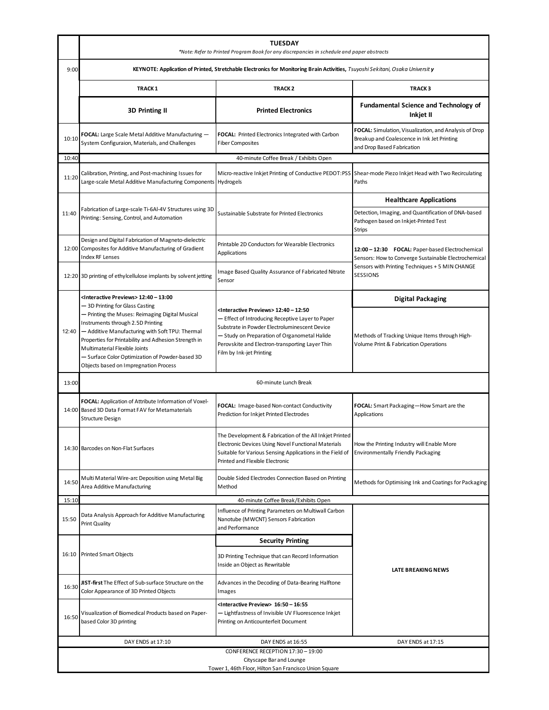|                                                             | <b>TUESDAY</b><br>*Note: Refer to Printed Program Book for any discrepancies in schedule and paper abstracts                                                                                                                                                                                                                                                    |                                                                                                                                                                                                                                                                                                |                                                                                                                                                                         |  |  |  |
|-------------------------------------------------------------|-----------------------------------------------------------------------------------------------------------------------------------------------------------------------------------------------------------------------------------------------------------------------------------------------------------------------------------------------------------------|------------------------------------------------------------------------------------------------------------------------------------------------------------------------------------------------------------------------------------------------------------------------------------------------|-------------------------------------------------------------------------------------------------------------------------------------------------------------------------|--|--|--|
| 9:00                                                        | KEYNOTE: Application of Printed, Stretchable Electronics for Monitoring Brain Activities, Tsuyoshi Sekitani, Osaka Universit y                                                                                                                                                                                                                                  |                                                                                                                                                                                                                                                                                                |                                                                                                                                                                         |  |  |  |
|                                                             | <b>TRACK1</b>                                                                                                                                                                                                                                                                                                                                                   | <b>TRACK2</b>                                                                                                                                                                                                                                                                                  |                                                                                                                                                                         |  |  |  |
|                                                             | <b>3D Printing II</b>                                                                                                                                                                                                                                                                                                                                           | <b>Printed Electronics</b>                                                                                                                                                                                                                                                                     | <b>Fundamental Science and Technology of</b><br>Inkjet II                                                                                                               |  |  |  |
| 10:10                                                       | FOCAL: Large Scale Metal Additive Manufacturing -<br>System Configuraion, Materials, and Challenges                                                                                                                                                                                                                                                             | FOCAL: Printed Electronics Integrated with Carbon<br><b>Fiber Composites</b>                                                                                                                                                                                                                   | FOCAL: Simulation, Visualization, and Analysis of Drop<br>Breakup and Coalescence in Ink Jet Printing<br>and Drop Based Fabrication                                     |  |  |  |
| 10:40                                                       | 40-minute Coffee Break / Exhibits Open                                                                                                                                                                                                                                                                                                                          |                                                                                                                                                                                                                                                                                                |                                                                                                                                                                         |  |  |  |
| 11:20                                                       | Calibration, Printing, and Post-machining Issues for<br>Large-scale Metal Additive Manufacturing Components Hydrogels                                                                                                                                                                                                                                           | Micro-reactive Inkjet Printing of Conductive PEDOT:PSS                                                                                                                                                                                                                                         | Shear-mode Piezo Inkjet Head with Two Recirculating<br>Paths                                                                                                            |  |  |  |
|                                                             |                                                                                                                                                                                                                                                                                                                                                                 |                                                                                                                                                                                                                                                                                                | <b>Healthcare Applications</b>                                                                                                                                          |  |  |  |
| 11:40                                                       | Fabrication of Large-scale Ti-6Al-4V Structures using 3D<br>Printing: Sensing, Control, and Automation                                                                                                                                                                                                                                                          | Sustainable Substrate for Printed Electronics                                                                                                                                                                                                                                                  | Detection, Imaging, and Quantification of DNA-based<br>Pathogen based on Inkjet-Printed Test<br><b>Strips</b>                                                           |  |  |  |
|                                                             | Design and Digital Fabrication of Magneto-dielectric<br>12:00 Composites for Additive Manufacturing of Gradient<br><b>Index RF Lenses</b>                                                                                                                                                                                                                       | Printable 2D Conductors for Wearable Electronics<br>Applications                                                                                                                                                                                                                               | 12:00 - 12:30 FOCAL: Paper-based Electrochemical<br>Sensors: How to Converge Sustainable Electrochemical<br>Sensors with Printing Techniques + 5 MIN CHANGE<br>SESSIONS |  |  |  |
|                                                             | 12:20 3D printing of ethylcellulose implants by solvent jetting                                                                                                                                                                                                                                                                                                 | Image Based Quality Assurance of Fabricated Nitrate<br>Sensor                                                                                                                                                                                                                                  |                                                                                                                                                                         |  |  |  |
|                                                             | <interactive previews=""> 12:40 - 13:00</interactive>                                                                                                                                                                                                                                                                                                           | <interactive previews=""> 12:40 - 12:50<br/>- Effect of Introducing Receptive Layer to Paper<br/>Substrate in Powder Electroluminescent Device<br/>- Study on Preparation of Organometal Halide<br/>Perovskite and Electron-transporting Layer Thin<br/>Film by Ink-jet Printing</interactive> | <b>Digital Packaging</b>                                                                                                                                                |  |  |  |
| 12:40                                                       | - 3D Printing for Glass Casting<br>- Printing the Muses: Reimaging Digital Musical<br>Instruments through 2.5D Printing<br>- Additive Manufacturing with Soft TPU: Thermal<br>Properties for Printability and Adhesion Strength in<br>Multimaterial Flexible Joints<br>- Surface Color Optimization of Powder-based 3D<br>Objects based on Impregnation Process |                                                                                                                                                                                                                                                                                                | Methods of Tracking Unique Items through High-<br>Volume Print & Fabrication Operations                                                                                 |  |  |  |
| 13:00                                                       |                                                                                                                                                                                                                                                                                                                                                                 | 60-minute Lunch Break                                                                                                                                                                                                                                                                          |                                                                                                                                                                         |  |  |  |
|                                                             | FOCAL: Application of Attribute Information of Voxel-<br>14:00 Based 3D Data Format FAV for Metamaterials<br><b>Structure Design</b>                                                                                                                                                                                                                            | FOCAL: Image-based Non-contact Conductivity<br>Prediction for Inkjet Printed Electrodes                                                                                                                                                                                                        | FOCAL: Smart Packaging-How Smart are the<br>Applications                                                                                                                |  |  |  |
|                                                             | 14:30 Barcodes on Non-Flat Surfaces                                                                                                                                                                                                                                                                                                                             | The Development & Fabrication of the All Inkjet Printed<br>Electronic Devices Using Novel Functional Materials<br>Suitable for Various Sensing Applications in the Field of<br>Printed and Flexible Electronic                                                                                 | How the Printing Industry will Enable More<br><b>Environmentally Friendly Packaging</b>                                                                                 |  |  |  |
| 14:50                                                       | Multi Material Wire-arc Deposition using Metal Big<br>Area Additive Manufacturing                                                                                                                                                                                                                                                                               | Double Sided Electrodes Connection Based on Printing<br>Method                                                                                                                                                                                                                                 | Methods for Optimising Ink and Coatings for Packaging                                                                                                                   |  |  |  |
| 15:10                                                       |                                                                                                                                                                                                                                                                                                                                                                 | 40-minute Coffee Break/Exhibits Open                                                                                                                                                                                                                                                           |                                                                                                                                                                         |  |  |  |
| 15:50                                                       | Data Analysis Approach for Additive Manufacturing<br>Print Quality                                                                                                                                                                                                                                                                                              | Influence of Printing Parameters on Multiwall Carbon<br>Nanotube (MWCNT) Sensors Fabrication<br>and Performance                                                                                                                                                                                |                                                                                                                                                                         |  |  |  |
|                                                             |                                                                                                                                                                                                                                                                                                                                                                 | <b>Security Printing</b>                                                                                                                                                                                                                                                                       | <b>LATE BREAKING NEWS</b>                                                                                                                                               |  |  |  |
| 16:10                                                       | <b>Printed Smart Objects</b>                                                                                                                                                                                                                                                                                                                                    | 3D Printing Technique that can Record Information<br>Inside an Object as Rewritable                                                                                                                                                                                                            |                                                                                                                                                                         |  |  |  |
| 16:30                                                       | JIST-first The Effect of Sub-surface Structure on the<br>Color Appearance of 3D Printed Objects                                                                                                                                                                                                                                                                 | Advances in the Decoding of Data-Bearing Halftone<br>Images                                                                                                                                                                                                                                    |                                                                                                                                                                         |  |  |  |
| 16:50                                                       | Visualization of Biomedical Products based on Paper-<br>based Color 3D printing                                                                                                                                                                                                                                                                                 | <interactive preview=""> 16:50 - 16:55<br/>- Lightfastness of Invisible UV Fluorescence Inkjet<br/>Printing on Anticounterfeit Document</interactive>                                                                                                                                          |                                                                                                                                                                         |  |  |  |
| DAY ENDS at 17:10<br>DAY ENDS at 17:15<br>DAY ENDS at 16:55 |                                                                                                                                                                                                                                                                                                                                                                 |                                                                                                                                                                                                                                                                                                |                                                                                                                                                                         |  |  |  |
| CONFERENCE RECEPTION 17:30 - 19:00                          |                                                                                                                                                                                                                                                                                                                                                                 |                                                                                                                                                                                                                                                                                                |                                                                                                                                                                         |  |  |  |
|                                                             | Cityscape Bar and Lounge<br>Tower 1, 46th Floor, Hilton San Francisco Union Square                                                                                                                                                                                                                                                                              |                                                                                                                                                                                                                                                                                                |                                                                                                                                                                         |  |  |  |